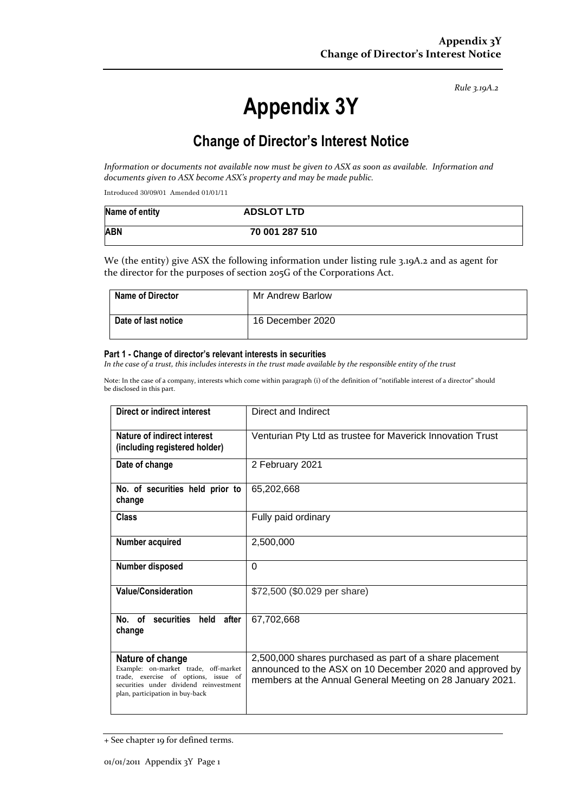*Rule 3.19A.2*

# **Appendix 3Y**

# **Change of Director's Interest Notice**

*Information or documents not available now must be given to ASX as soon as available. Information and documents given to ASX become ASX's property and may be made public.*

Introduced 30/09/01 Amended 01/01/11

| Name of entity | <b>ADSLOT LTD</b> |
|----------------|-------------------|
| <b>ABN</b>     | 70 001 287 510    |

We (the entity) give ASX the following information under listing rule 3.19A.2 and as agent for the director for the purposes of section 205G of the Corporations Act.

| <b>Name of Director</b> | Mr Andrew Barlow |
|-------------------------|------------------|
| Date of last notice     | 16 December 2020 |

#### **Part 1 - Change of director's relevant interests in securities**

*In the case of a trust, this includes interests in the trust made available by the responsible entity of the trust*

Note: In the case of a company, interests which come within paragraph (i) of the definition of "notifiable interest of a director" should be disclosed in this part.

| Direct or indirect interest                                                                                                                                                   | Direct and Indirect                                                                                                                                                              |
|-------------------------------------------------------------------------------------------------------------------------------------------------------------------------------|----------------------------------------------------------------------------------------------------------------------------------------------------------------------------------|
| Nature of indirect interest<br>(including registered holder)                                                                                                                  | Venturian Pty Ltd as trustee for Maverick Innovation Trust                                                                                                                       |
| Date of change                                                                                                                                                                | 2 February 2021                                                                                                                                                                  |
| No. of securities held prior to<br>change                                                                                                                                     | 65,202,668                                                                                                                                                                       |
| <b>Class</b>                                                                                                                                                                  | Fully paid ordinary                                                                                                                                                              |
| Number acquired                                                                                                                                                               | 2,500,000                                                                                                                                                                        |
| <b>Number disposed</b>                                                                                                                                                        | 0                                                                                                                                                                                |
| <b>Value/Consideration</b>                                                                                                                                                    | \$72,500 (\$0.029 per share)                                                                                                                                                     |
| No. of securities<br>held after<br>change                                                                                                                                     | 67,702,668                                                                                                                                                                       |
| Nature of change<br>Example: on-market trade, off-market<br>trade, exercise of options, issue of<br>securities under dividend reinvestment<br>plan, participation in buy-back | 2,500,000 shares purchased as part of a share placement<br>announced to the ASX on 10 December 2020 and approved by<br>members at the Annual General Meeting on 28 January 2021. |

<sup>+</sup> See chapter 19 for defined terms.